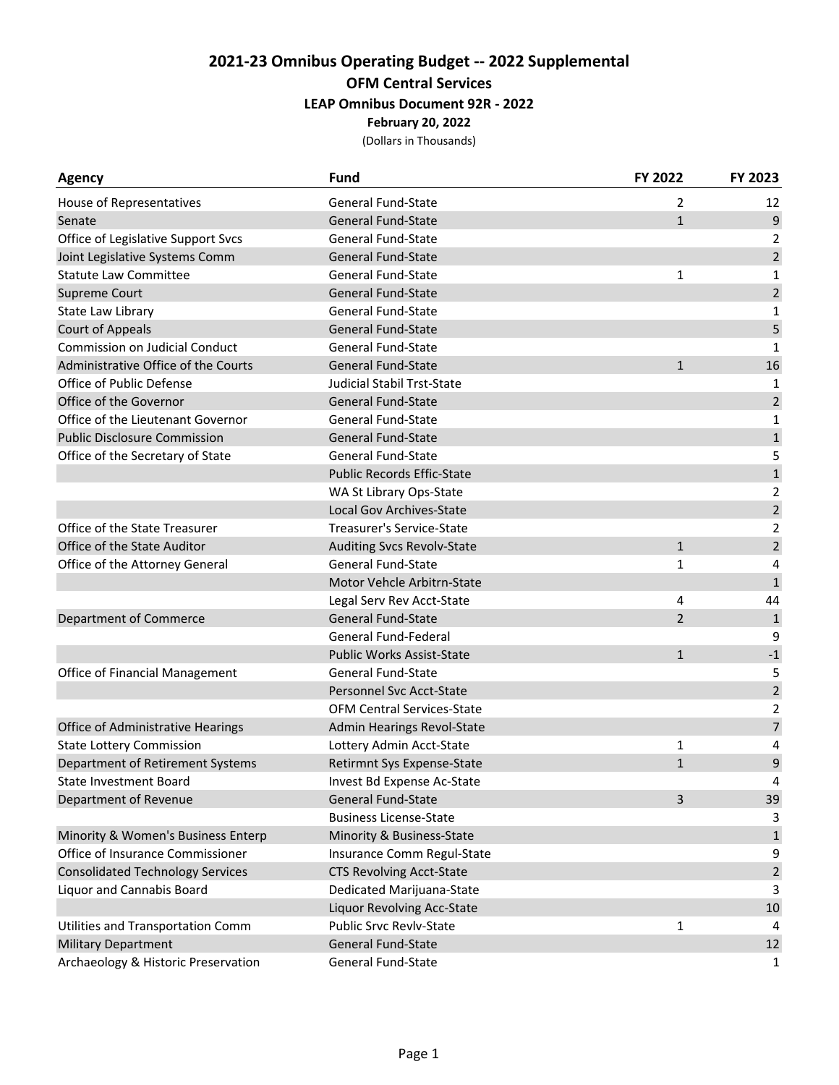## **2021‐23 Omnibus Operating Budget ‐‐ 2022 Supplemental OFM Central Services LEAP Omnibus Document 92R ‐ 2022 February 20, 2022**

(Dollars in Thousands)

| <b>Agency</b>                           | <b>Fund</b>                       | FY 2022        | FY 2023        |
|-----------------------------------------|-----------------------------------|----------------|----------------|
| House of Representatives                | General Fund-State                | $\overline{2}$ | 12             |
| Senate                                  | <b>General Fund-State</b>         | $\mathbf{1}$   | 9              |
| Office of Legislative Support Svcs      | <b>General Fund-State</b>         |                | $\overline{2}$ |
| Joint Legislative Systems Comm          | <b>General Fund-State</b>         |                | $\overline{2}$ |
| <b>Statute Law Committee</b>            | <b>General Fund-State</b>         | 1              | $\mathbf 1$    |
| <b>Supreme Court</b>                    | <b>General Fund-State</b>         |                | $\overline{2}$ |
| State Law Library                       | General Fund-State                |                | 1              |
| <b>Court of Appeals</b>                 | <b>General Fund-State</b>         |                | 5              |
| Commission on Judicial Conduct          | <b>General Fund-State</b>         |                | 1              |
| Administrative Office of the Courts     | <b>General Fund-State</b>         | $\mathbf{1}$   | 16             |
| Office of Public Defense                | <b>Judicial Stabil Trst-State</b> |                | 1              |
| Office of the Governor                  | <b>General Fund-State</b>         |                | $\overline{2}$ |
| Office of the Lieutenant Governor       | General Fund-State                |                | $\mathbf{1}$   |
| <b>Public Disclosure Commission</b>     | <b>General Fund-State</b>         |                | $\mathbf 1$    |
| Office of the Secretary of State        | General Fund-State                |                | 5              |
|                                         | <b>Public Records Effic-State</b> |                | $\mathbf 1$    |
|                                         | WA St Library Ops-State           |                | $\overline{2}$ |
|                                         | Local Gov Archives-State          |                | $\overline{2}$ |
| Office of the State Treasurer           | Treasurer's Service-State         |                | 2              |
| Office of the State Auditor             | <b>Auditing Svcs Revolv-State</b> | $\mathbf{1}$   | $\mathbf 2$    |
| Office of the Attorney General          | <b>General Fund-State</b>         | 1              | 4              |
|                                         | Motor Vehcle Arbitrn-State        |                | $\mathbf{1}$   |
|                                         | Legal Serv Rev Acct-State         | 4              | 44             |
| Department of Commerce                  | <b>General Fund-State</b>         | $\overline{2}$ | $\mathbf{1}$   |
|                                         | General Fund-Federal              |                | 9              |
|                                         | <b>Public Works Assist-State</b>  | $\mathbf{1}$   | $-1$           |
| Office of Financial Management          | <b>General Fund-State</b>         |                | 5              |
|                                         | Personnel Svc Acct-State          |                | $\overline{2}$ |
|                                         | <b>OFM Central Services-State</b> |                | $\overline{2}$ |
| Office of Administrative Hearings       | Admin Hearings Revol-State        |                | $\overline{7}$ |
| <b>State Lottery Commission</b>         | Lottery Admin Acct-State          | 1              | 4              |
| Department of Retirement Systems        | Retirmnt Sys Expense-State        | $\mathbf{1}$   | 9              |
| <b>State Investment Board</b>           | Invest Bd Expense Ac-State        |                | 4              |
| Department of Revenue                   | <b>General Fund-State</b>         | $\overline{3}$ | 39             |
|                                         | <b>Business License-State</b>     |                | 3              |
| Minority & Women's Business Enterp      | Minority & Business-State         |                | $\mathbf{1}$   |
| Office of Insurance Commissioner        | Insurance Comm Regul-State        |                | 9              |
| <b>Consolidated Technology Services</b> | <b>CTS Revolving Acct-State</b>   |                | $\sqrt{2}$     |
| Liquor and Cannabis Board               | Dedicated Marijuana-State         |                | 3              |
|                                         | Liquor Revolving Acc-State        |                | 10             |
| Utilities and Transportation Comm       | Public Srvc Revlv-State           | 1              | 4              |
| <b>Military Department</b>              | General Fund-State                |                | 12             |
| Archaeology & Historic Preservation     | General Fund-State                |                | $\mathbf{1}$   |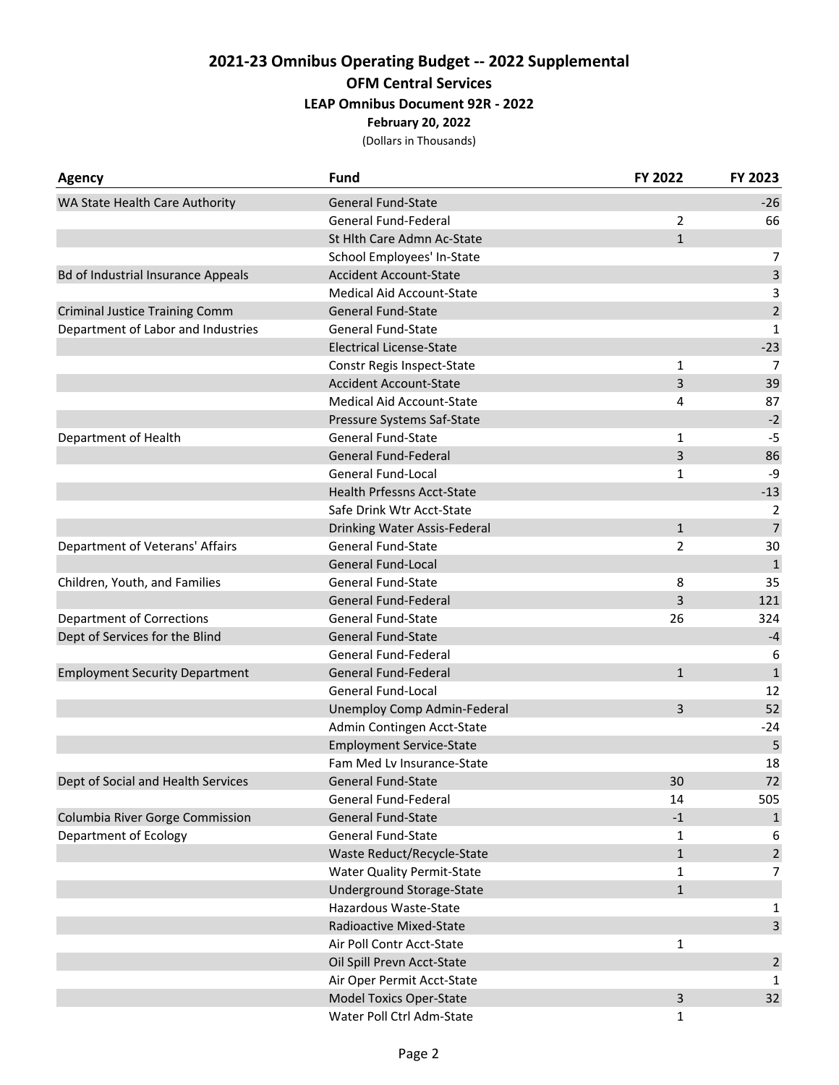## **2021‐23 Omnibus Operating Budget ‐‐ 2022 Supplemental OFM Central Services LEAP Omnibus Document 92R ‐ 2022 February 20, 2022**

(Dollars in Thousands)

| <b>Agency</b>                             | <b>Fund</b>                       | FY 2022        | FY 2023        |
|-------------------------------------------|-----------------------------------|----------------|----------------|
| WA State Health Care Authority            | <b>General Fund-State</b>         |                | $-26$          |
|                                           | General Fund-Federal              | 2              | 66             |
|                                           | St Hlth Care Admn Ac-State        | $\mathbf{1}$   |                |
|                                           | School Employees' In-State        |                | $\overline{7}$ |
| <b>Bd of Industrial Insurance Appeals</b> | <b>Accident Account-State</b>     |                | 3              |
|                                           | Medical Aid Account-State         |                | 3              |
| <b>Criminal Justice Training Comm</b>     | <b>General Fund-State</b>         |                | $\mathbf 2$    |
| Department of Labor and Industries        | General Fund-State                |                | $\mathbf{1}$   |
|                                           | <b>Electrical License-State</b>   |                | $-23$          |
|                                           | Constr Regis Inspect-State        | 1              | $\overline{7}$ |
|                                           | <b>Accident Account-State</b>     | 3              | 39             |
|                                           | Medical Aid Account-State         | 4              | 87             |
|                                           | Pressure Systems Saf-State        |                | $-2$           |
| Department of Health                      | <b>General Fund-State</b>         | $\mathbf{1}$   | $-5$           |
|                                           | <b>General Fund-Federal</b>       | 3              | 86             |
|                                           | General Fund-Local                | 1              | -9             |
|                                           | <b>Health Prfessns Acct-State</b> |                | $-13$          |
|                                           | Safe Drink Wtr Acct-State         |                | 2              |
|                                           | Drinking Water Assis-Federal      | $\mathbf{1}$   | $\overline{7}$ |
| Department of Veterans' Affairs           | <b>General Fund-State</b>         | 2              | 30             |
|                                           | <b>General Fund-Local</b>         |                | $\mathbf{1}$   |
| Children, Youth, and Families             | <b>General Fund-State</b>         | 8              | 35             |
|                                           | <b>General Fund-Federal</b>       | 3              | 121            |
| <b>Department of Corrections</b>          | <b>General Fund-State</b>         | 26             | 324            |
| Dept of Services for the Blind            | <b>General Fund-State</b>         |                | $-4$           |
|                                           | <b>General Fund-Federal</b>       |                | 6              |
| <b>Employment Security Department</b>     | <b>General Fund-Federal</b>       | $\mathbf{1}$   | $\mathbf{1}$   |
|                                           | <b>General Fund-Local</b>         |                | 12             |
|                                           | Unemploy Comp Admin-Federal       | $\overline{3}$ | 52             |
|                                           | Admin Contingen Acct-State        |                | $-24$          |
|                                           | <b>Employment Service-State</b>   |                | 5              |
|                                           | Fam Med Lv Insurance-State        |                | 18             |
| Dept of Social and Health Services        | <b>General Fund-State</b>         | 30             | 72             |
|                                           | General Fund-Federal              | 14             | 505            |
| Columbia River Gorge Commission           | <b>General Fund-State</b>         | $-1$           | $\mathbf{1}$   |
| Department of Ecology                     | General Fund-State                | 1              | 6              |
|                                           | Waste Reduct/Recycle-State        | $\mathbf{1}$   | $\overline{2}$ |
|                                           | <b>Water Quality Permit-State</b> | 1              | $\overline{7}$ |
|                                           | Underground Storage-State         | $\mathbf{1}$   |                |
|                                           | Hazardous Waste-State             |                | 1              |
|                                           | Radioactive Mixed-State           |                | 3              |
|                                           | Air Poll Contr Acct-State         | 1              |                |
|                                           | Oil Spill Prevn Acct-State        |                | $\overline{2}$ |
|                                           | Air Oper Permit Acct-State        |                | 1              |
|                                           | <b>Model Toxics Oper-State</b>    | $\overline{3}$ | 32             |
|                                           | Water Poll Ctrl Adm-State         | 1              |                |